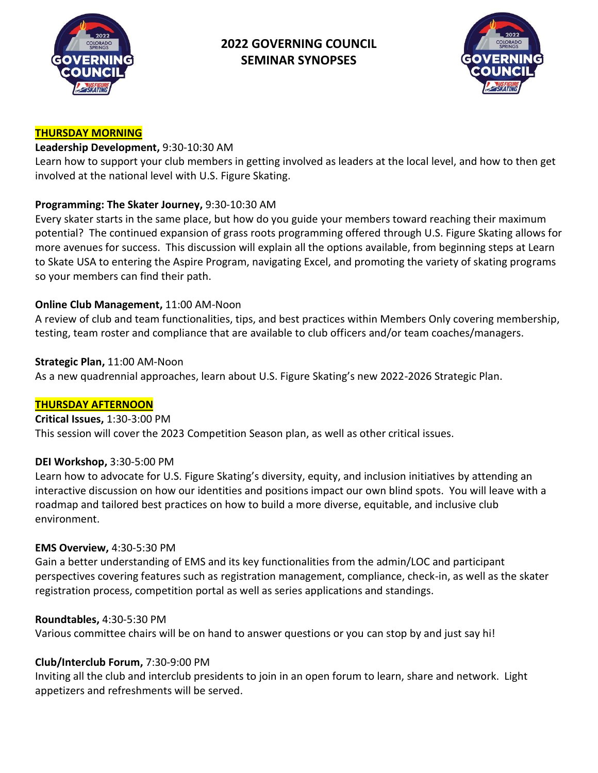

# **2022 GOVERNING COUNCIL SEMINAR SYNOPSES**



#### **THURSDAY MORNING**

### **Leadership Development,** 9:30-10:30 AM

Learn how to support your club members in getting involved as leaders at the local level, and how to then get involved at the national level with U.S. Figure Skating.

# **Programming: The Skater Journey,** 9:30-10:30 AM

Every skater starts in the same place, but how do you guide your members toward reaching their maximum potential? The continued expansion of grass roots programming offered through U.S. Figure Skating allows for more avenues for success. This discussion will explain all the options available, from beginning steps at Learn to Skate USA to entering the Aspire Program, navigating Excel, and promoting the variety of skating programs so your members can find their path.

# **Online Club Management,** 11:00 AM-Noon

A review of club and team functionalities, tips, and best practices within Members Only covering membership, testing, team roster and compliance that are available to club officers and/or team coaches/managers.

### **Strategic Plan,** 11:00 AM-Noon

As a new quadrennial approaches, learn about U.S. Figure Skating's new 2022-2026 Strategic Plan.

### **THURSDAY AFTERNOON**

### **Critical Issues,** 1:30-3:00 PM

This session will cover the 2023 Competition Season plan, as well as other critical issues.

### **DEI Workshop,** 3:30-5:00 PM

Learn how to advocate for U.S. Figure Skating's diversity, equity, and inclusion initiatives by attending an interactive discussion on how our identities and positions impact our own blind spots. You will leave with a roadmap and tailored best practices on how to build a more diverse, equitable, and inclusive club environment.

### **EMS Overview,** 4:30-5:30 PM

Gain a better understanding of EMS and its key functionalities from the admin/LOC and participant perspectives covering features such as registration management, compliance, check-in, as well as the skater registration process, competition portal as well as series applications and standings.

### **Roundtables,** 4:30-5:30 PM

Various committee chairs will be on hand to answer questions or you can stop by and just say hi!

### **Club/Interclub Forum,** 7:30-9:00 PM

Inviting all the club and interclub presidents to join in an open forum to learn, share and network. Light appetizers and refreshments will be served.